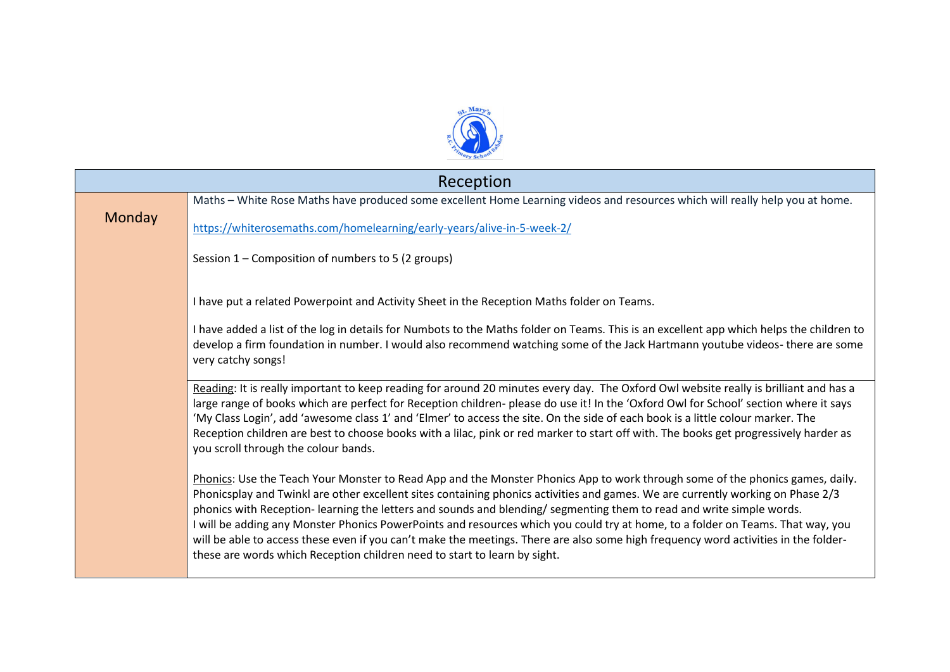

| Reception |                                                                                                                                                                                                                                                                                                                                                                                                                                                                                                                                                                                                                                                                                                                                                  |  |  |
|-----------|--------------------------------------------------------------------------------------------------------------------------------------------------------------------------------------------------------------------------------------------------------------------------------------------------------------------------------------------------------------------------------------------------------------------------------------------------------------------------------------------------------------------------------------------------------------------------------------------------------------------------------------------------------------------------------------------------------------------------------------------------|--|--|
|           | Maths - White Rose Maths have produced some excellent Home Learning videos and resources which will really help you at home.                                                                                                                                                                                                                                                                                                                                                                                                                                                                                                                                                                                                                     |  |  |
| Monday    | https://whiterosemaths.com/homelearning/early-years/alive-in-5-week-2/                                                                                                                                                                                                                                                                                                                                                                                                                                                                                                                                                                                                                                                                           |  |  |
|           | Session 1 – Composition of numbers to 5 (2 groups)                                                                                                                                                                                                                                                                                                                                                                                                                                                                                                                                                                                                                                                                                               |  |  |
|           | I have put a related Powerpoint and Activity Sheet in the Reception Maths folder on Teams.                                                                                                                                                                                                                                                                                                                                                                                                                                                                                                                                                                                                                                                       |  |  |
|           | I have added a list of the log in details for Numbots to the Maths folder on Teams. This is an excellent app which helps the children to<br>develop a firm foundation in number. I would also recommend watching some of the Jack Hartmann youtube videos- there are some<br>very catchy songs!                                                                                                                                                                                                                                                                                                                                                                                                                                                  |  |  |
|           | Reading: It is really important to keep reading for around 20 minutes every day. The Oxford Owl website really is brilliant and has a<br>large range of books which are perfect for Reception children- please do use it! In the 'Oxford Owl for School' section where it says<br>'My Class Login', add 'awesome class 1' and 'Elmer' to access the site. On the side of each book is a little colour marker. The<br>Reception children are best to choose books with a lilac, pink or red marker to start off with. The books get progressively harder as<br>you scroll through the colour bands.                                                                                                                                               |  |  |
|           | Phonics: Use the Teach Your Monster to Read App and the Monster Phonics App to work through some of the phonics games, daily.<br>Phonicsplay and Twinkl are other excellent sites containing phonics activities and games. We are currently working on Phase 2/3<br>phonics with Reception- learning the letters and sounds and blending/ segmenting them to read and write simple words.<br>I will be adding any Monster Phonics PowerPoints and resources which you could try at home, to a folder on Teams. That way, you<br>will be able to access these even if you can't make the meetings. There are also some high frequency word activities in the folder-<br>these are words which Reception children need to start to learn by sight. |  |  |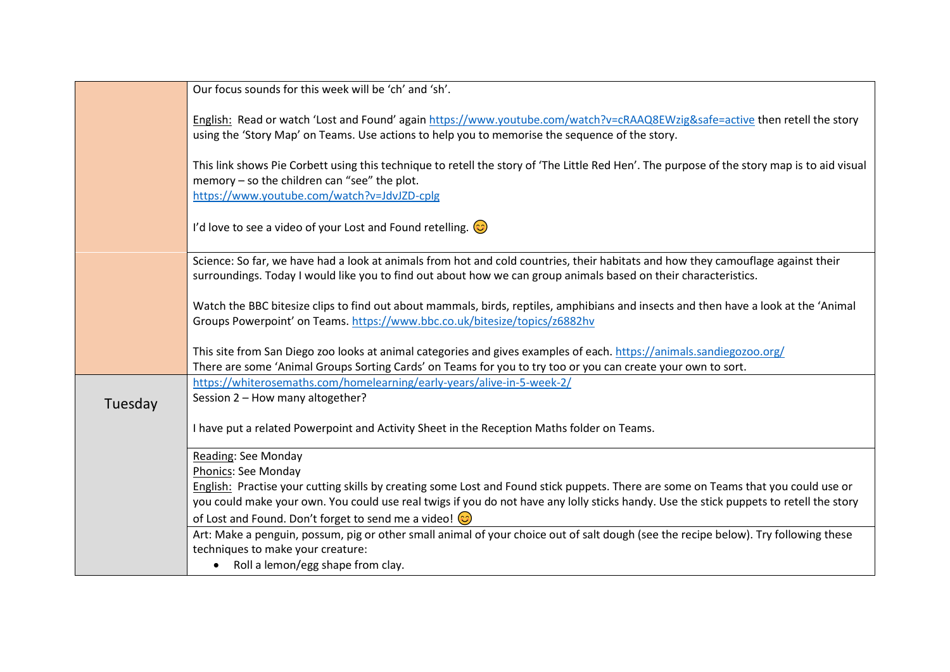|         | Our focus sounds for this week will be 'ch' and 'sh'.                                                                                                                                                                                                                        |
|---------|------------------------------------------------------------------------------------------------------------------------------------------------------------------------------------------------------------------------------------------------------------------------------|
|         | English: Read or watch 'Lost and Found' again https://www.youtube.com/watch?v=cRAAQ8EWzig&safe=active then retell the story<br>using the 'Story Map' on Teams. Use actions to help you to memorise the sequence of the story.                                                |
|         | This link shows Pie Corbett using this technique to retell the story of 'The Little Red Hen'. The purpose of the story map is to aid visual<br>memory - so the children can "see" the plot.<br>https://www.youtube.com/watch?v=JdvJZD-cplg                                   |
|         | I'd love to see a video of your Lost and Found retelling. $\circled{c}$                                                                                                                                                                                                      |
|         | Science: So far, we have had a look at animals from hot and cold countries, their habitats and how they camouflage against their<br>surroundings. Today I would like you to find out about how we can group animals based on their characteristics.                          |
|         | Watch the BBC bitesize clips to find out about mammals, birds, reptiles, amphibians and insects and then have a look at the 'Animal<br>Groups Powerpoint' on Teams. https://www.bbc.co.uk/bitesize/topics/z6882hv                                                            |
|         | This site from San Diego zoo looks at animal categories and gives examples of each. https://animals.sandiegozoo.org/<br>There are some 'Animal Groups Sorting Cards' on Teams for you to try too or you can create your own to sort.                                         |
| Tuesday | https://whiterosemaths.com/homelearning/early-years/alive-in-5-week-2/<br>Session 2 - How many altogether?                                                                                                                                                                   |
|         | I have put a related Powerpoint and Activity Sheet in the Reception Maths folder on Teams.                                                                                                                                                                                   |
|         | Reading: See Monday<br>Phonics: See Monday                                                                                                                                                                                                                                   |
|         | English: Practise your cutting skills by creating some Lost and Found stick puppets. There are some on Teams that you could use or<br>you could make your own. You could use real twigs if you do not have any lolly sticks handy. Use the stick puppets to retell the story |
|         | of Lost and Found. Don't forget to send me a video! $\odot$<br>Art: Make a penguin, possum, pig or other small animal of your choice out of salt dough (see the recipe below). Try following these<br>techniques to make your creature:                                      |
|         | Roll a lemon/egg shape from clay.                                                                                                                                                                                                                                            |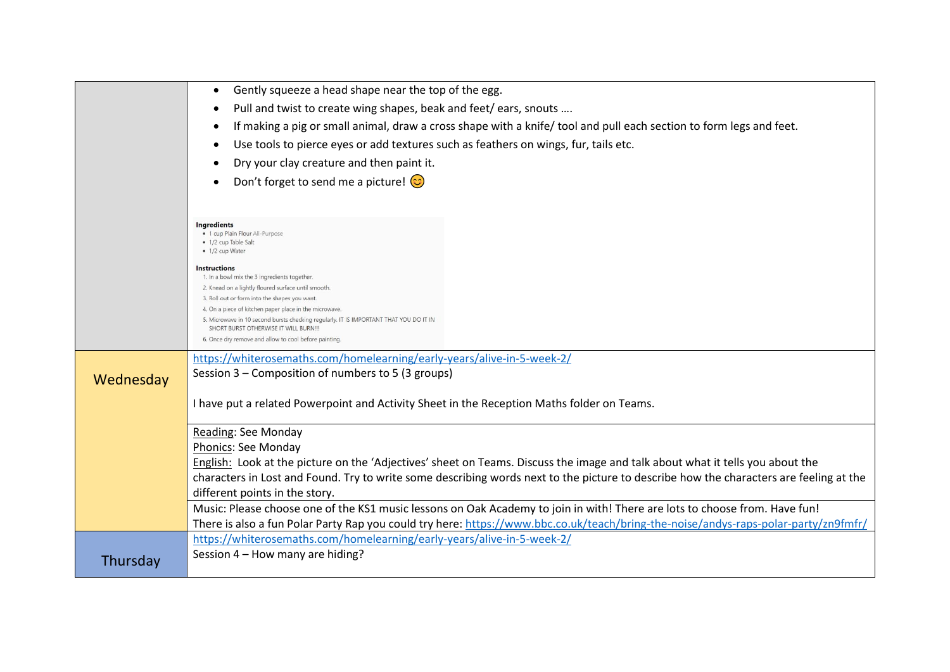|           | Gently squeeze a head shape near the top of the egg.                                                                                   |
|-----------|----------------------------------------------------------------------------------------------------------------------------------------|
|           | Pull and twist to create wing shapes, beak and feet/ears, snouts                                                                       |
|           | If making a pig or small animal, draw a cross shape with a knife/ tool and pull each section to form legs and feet.                    |
|           | Use tools to pierce eyes or add textures such as feathers on wings, fur, tails etc.                                                    |
|           | Dry your clay creature and then paint it.                                                                                              |
|           |                                                                                                                                        |
|           | Don't forget to send me a picture! $\odot$                                                                                             |
|           |                                                                                                                                        |
|           | Ingredients                                                                                                                            |
|           | · 1 cup Plain Flour All-Purpose<br>• 1/2 cup Table Salt                                                                                |
|           | • 1/2 cup Water                                                                                                                        |
|           | <b>Instructions</b><br>1. In a bowl mix the 3 ingredients together                                                                     |
|           | 2. Knead on a lightly floured surface until smooth.                                                                                    |
|           | 3. Roll out or form into the shapes you want.<br>4. On a piece of kitchen paper place in the microwave.                                |
|           | 5. Microwave in 10 second bursts checking regularly. IT IS IMPORTANT THAT YOU DO IT IN<br>SHORT BURST OTHERWISE IT WILL BURN !!!       |
|           | 6. Once dry remove and allow to cool before painting.                                                                                  |
|           | https://whiterosemaths.com/homelearning/early-years/alive-in-5-week-2/                                                                 |
| Wednesday | Session 3 – Composition of numbers to 5 (3 groups)                                                                                     |
|           |                                                                                                                                        |
|           | I have put a related Powerpoint and Activity Sheet in the Reception Maths folder on Teams.                                             |
|           | Reading: See Monday                                                                                                                    |
|           | Phonics: See Monday                                                                                                                    |
|           | English: Look at the picture on the 'Adjectives' sheet on Teams. Discuss the image and talk about what it tells you about the          |
|           | characters in Lost and Found. Try to write some describing words next to the picture to describe how the characters are feeling at the |
|           | different points in the story.                                                                                                         |
|           | Music: Please choose one of the KS1 music lessons on Oak Academy to join in with! There are lots to choose from. Have fun!             |
|           | There is also a fun Polar Party Rap you could try here: https://www.bbc.co.uk/teach/bring-the-noise/andys-raps-polar-party/zn9fmfr/    |
|           | https://whiterosemaths.com/homelearning/early-years/alive-in-5-week-2/                                                                 |
| Thursday  | Session 4 - How many are hiding?                                                                                                       |
|           |                                                                                                                                        |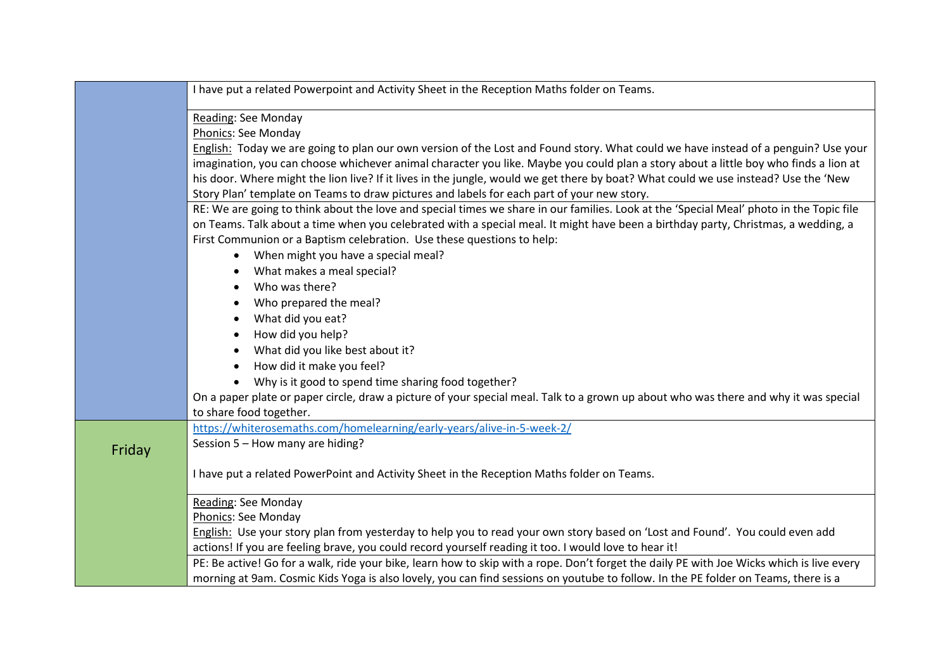|        | I have put a related Powerpoint and Activity Sheet in the Reception Maths folder on Teams.                                                                                                                                                                                   |
|--------|------------------------------------------------------------------------------------------------------------------------------------------------------------------------------------------------------------------------------------------------------------------------------|
|        | Reading: See Monday                                                                                                                                                                                                                                                          |
|        | Phonics: See Monday                                                                                                                                                                                                                                                          |
|        | English: Today we are going to plan our own version of the Lost and Found story. What could we have instead of a penguin? Use your                                                                                                                                           |
|        | imagination, you can choose whichever animal character you like. Maybe you could plan a story about a little boy who finds a lion at<br>his door. Where might the lion live? If it lives in the jungle, would we get there by boat? What could we use instead? Use the 'New  |
|        | Story Plan' template on Teams to draw pictures and labels for each part of your new story.                                                                                                                                                                                   |
|        | RE: We are going to think about the love and special times we share in our families. Look at the 'Special Meal' photo in the Topic file<br>on Teams. Talk about a time when you celebrated with a special meal. It might have been a birthday party, Christmas, a wedding, a |
|        | First Communion or a Baptism celebration. Use these questions to help:                                                                                                                                                                                                       |
|        | When might you have a special meal?                                                                                                                                                                                                                                          |
|        | What makes a meal special?                                                                                                                                                                                                                                                   |
|        | Who was there?<br>$\bullet$                                                                                                                                                                                                                                                  |
|        | Who prepared the meal?                                                                                                                                                                                                                                                       |
|        | What did you eat?                                                                                                                                                                                                                                                            |
|        | How did you help?<br>$\bullet$                                                                                                                                                                                                                                               |
|        | What did you like best about it?                                                                                                                                                                                                                                             |
|        | How did it make you feel?                                                                                                                                                                                                                                                    |
|        | Why is it good to spend time sharing food together?                                                                                                                                                                                                                          |
|        | On a paper plate or paper circle, draw a picture of your special meal. Talk to a grown up about who was there and why it was special<br>to share food together.                                                                                                              |
|        | https://whiterosemaths.com/homelearning/early-years/alive-in-5-week-2/                                                                                                                                                                                                       |
| Friday | Session 5 - How many are hiding?                                                                                                                                                                                                                                             |
|        | I have put a related PowerPoint and Activity Sheet in the Reception Maths folder on Teams.                                                                                                                                                                                   |
|        | Reading: See Monday                                                                                                                                                                                                                                                          |
|        | Phonics: See Monday                                                                                                                                                                                                                                                          |
|        | English: Use your story plan from yesterday to help you to read your own story based on 'Lost and Found'. You could even add                                                                                                                                                 |
|        | actions! If you are feeling brave, you could record yourself reading it too. I would love to hear it!                                                                                                                                                                        |
|        | PE: Be active! Go for a walk, ride your bike, learn how to skip with a rope. Don't forget the daily PE with Joe Wicks which is live every                                                                                                                                    |
|        | morning at 9am. Cosmic Kids Yoga is also lovely, you can find sessions on youtube to follow. In the PE folder on Teams, there is a                                                                                                                                           |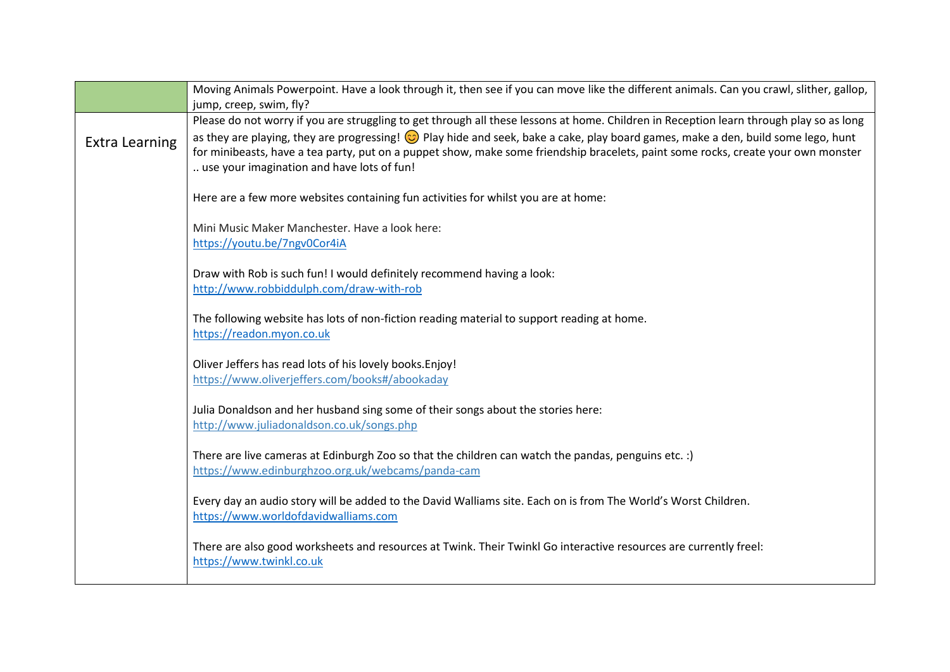|                       | Moving Animals Powerpoint. Have a look through it, then see if you can move like the different animals. Can you crawl, slither, gallop,<br>jump, creep, swim, fly?                                                                                                                                                                                                                                                                                              |
|-----------------------|-----------------------------------------------------------------------------------------------------------------------------------------------------------------------------------------------------------------------------------------------------------------------------------------------------------------------------------------------------------------------------------------------------------------------------------------------------------------|
| <b>Extra Learning</b> | Please do not worry if you are struggling to get through all these lessons at home. Children in Reception learn through play so as long<br>as they are playing, they are progressing! © Play hide and seek, bake a cake, play board games, make a den, build some lego, hunt<br>for minibeasts, have a tea party, put on a puppet show, make some friendship bracelets, paint some rocks, create your own monster<br>use your imagination and have lots of fun! |
|                       | Here are a few more websites containing fun activities for whilst you are at home:                                                                                                                                                                                                                                                                                                                                                                              |
|                       | Mini Music Maker Manchester. Have a look here:<br>https://youtu.be/7ngv0Cor4iA                                                                                                                                                                                                                                                                                                                                                                                  |
|                       | Draw with Rob is such fun! I would definitely recommend having a look:<br>http://www.robbiddulph.com/draw-with-rob                                                                                                                                                                                                                                                                                                                                              |
|                       | The following website has lots of non-fiction reading material to support reading at home.<br>https://readon.myon.co.uk                                                                                                                                                                                                                                                                                                                                         |
|                       | Oliver Jeffers has read lots of his lovely books. Enjoy!<br>https://www.oliverjeffers.com/books#/abookaday                                                                                                                                                                                                                                                                                                                                                      |
|                       | Julia Donaldson and her husband sing some of their songs about the stories here:<br>http://www.juliadonaldson.co.uk/songs.php                                                                                                                                                                                                                                                                                                                                   |
|                       | There are live cameras at Edinburgh Zoo so that the children can watch the pandas, penguins etc. :)<br>https://www.edinburghzoo.org.uk/webcams/panda-cam                                                                                                                                                                                                                                                                                                        |
|                       | Every day an audio story will be added to the David Walliams site. Each on is from The World's Worst Children.<br>https://www.worldofdavidwalliams.com                                                                                                                                                                                                                                                                                                          |
|                       | There are also good worksheets and resources at Twink. Their Twinkl Go interactive resources are currently freel:<br>https://www.twinkl.co.uk                                                                                                                                                                                                                                                                                                                   |